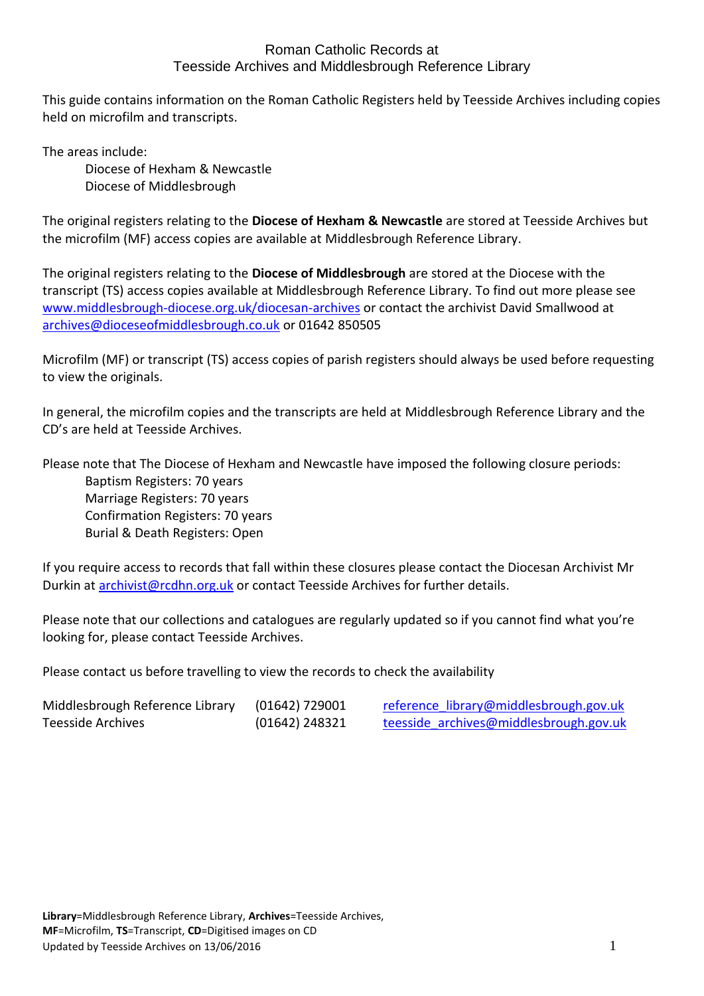This guide contains information on the Roman Catholic Registers held by Teesside Archives including copies held on microfilm and transcripts.

The areas include:

 Diocese of Hexham & Newcastle Diocese of Middlesbrough

 The original registers relating to the **Diocese of Hexham & Newcastle** are stored at Teesside Archives but the microfilm (MF) access copies are available at Middlesbrough Reference Library.

 The original registers relating to the **Diocese of Middlesbrough** are stored at the Diocese with the transcript (TS) access copies available at Middlesbrough Reference Library. To find out more please see [www.middlesbrough-diocese.org.uk/diocesan-archives](http://www.middlesbrough-diocese.org.uk/diocesan-archives) or contact the archivist David Smallwood at [archives@dioceseofmiddlesbrough.co.uk](mailto:archives@dioceseofmiddlesbrough.co.uk) or 01642 850505

 Microfilm (MF) or transcript (TS) access copies of parish registers should always be used before requesting to view the originals.

 In general, the microfilm copies and the transcripts are held at Middlesbrough Reference Library and the CD's are held at Teesside Archives.

Please note that The Diocese of Hexham and Newcastle have imposed the following closure periods:

 Baptism Registers: 70 years Marriage Registers: 70 years Confirmation Registers: 70 years Burial & Death Registers: Open

 If you require access to records that fall within these closures please contact the Diocesan Archivist Mr Durkin at [archivist@rcdhn.org.uk](mailto:archivist@rcdhn.org.uk) or contact Teesside Archives for further details.

 Please note that our collections and catalogues are regularly updated so if you cannot find what you're looking for, please contact Teesside Archives.

Please contact us before travelling to view the records to check the availability

| Middlesbrough Reference Library | $(01642)$ 729001 | reference library@middlesbrough.gov.uk |
|---------------------------------|------------------|----------------------------------------|
| Teesside Archives               | $(01642)$ 248321 | teesside archives@middlesbrough.gov.uk |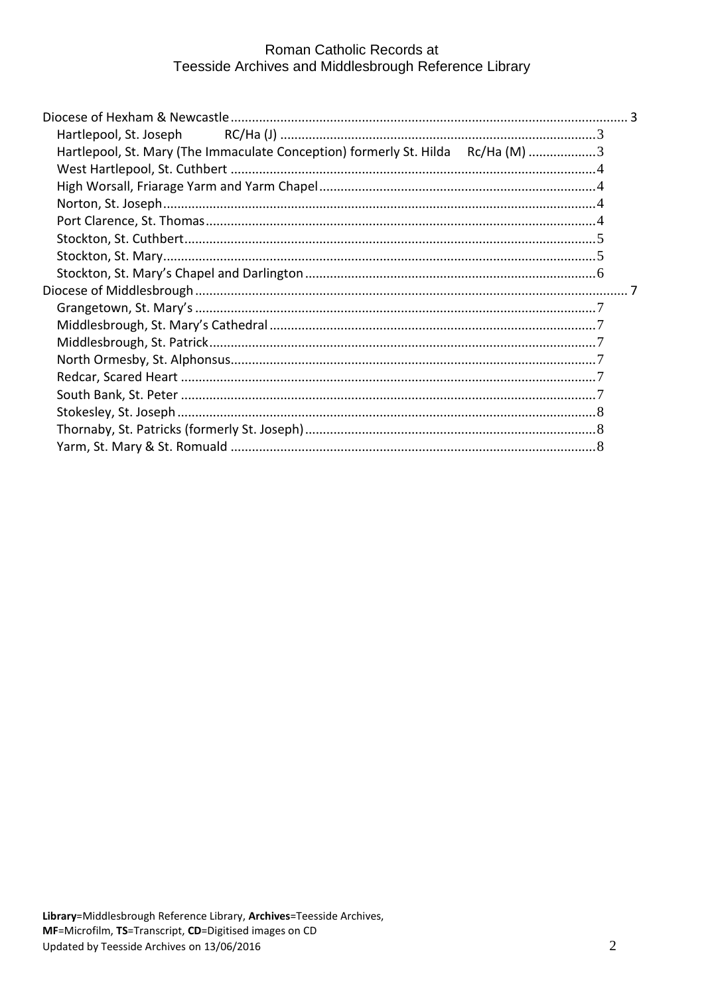| Hartlepool, St. Mary (The Immaculate Conception) formerly St. Hilda Rc/Ha (M) 3 |  |
|---------------------------------------------------------------------------------|--|
|                                                                                 |  |
|                                                                                 |  |
|                                                                                 |  |
|                                                                                 |  |
|                                                                                 |  |
|                                                                                 |  |
|                                                                                 |  |
|                                                                                 |  |
|                                                                                 |  |
|                                                                                 |  |
|                                                                                 |  |
|                                                                                 |  |
|                                                                                 |  |
|                                                                                 |  |
|                                                                                 |  |
|                                                                                 |  |
|                                                                                 |  |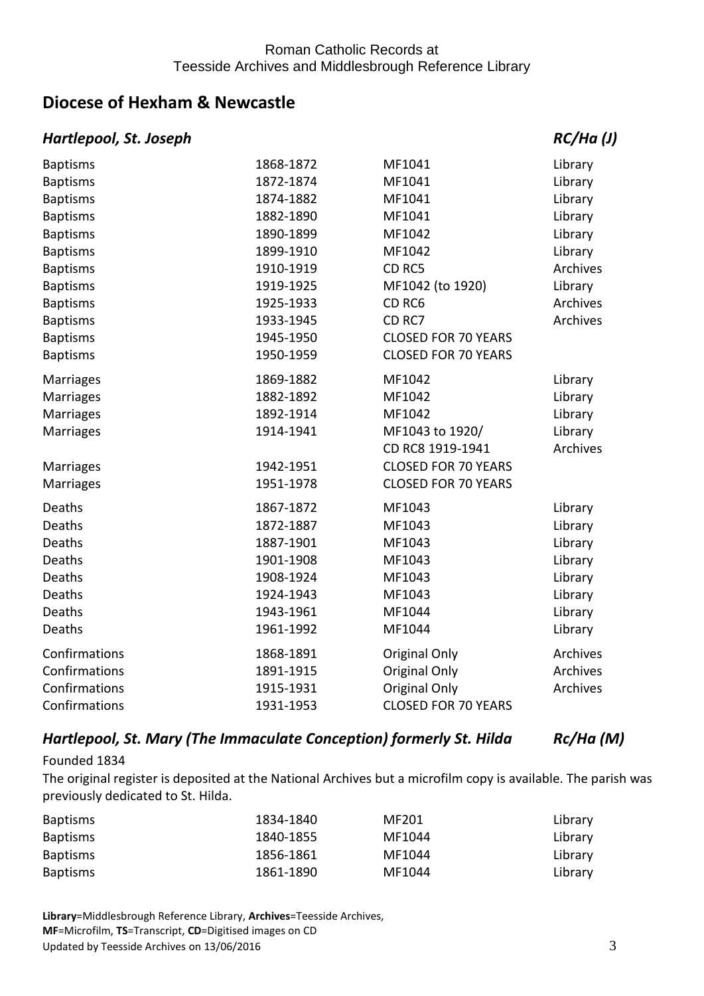# <span id="page-2-0"></span>**Diocese of Hexham & Newcastle**

### <span id="page-2-1"></span>*Hartlepool, St. Joseph* Research Research Books RC/Ha (J)

| <b>Baptisms</b>  | 1868-1872 | MF1041                     | Library         |
|------------------|-----------|----------------------------|-----------------|
| <b>Baptisms</b>  | 1872-1874 | MF1041                     | Library         |
| <b>Baptisms</b>  | 1874-1882 | MF1041                     | Library         |
| <b>Baptisms</b>  | 1882-1890 | MF1041                     | Library         |
| <b>Baptisms</b>  | 1890-1899 | MF1042                     | Library         |
| <b>Baptisms</b>  | 1899-1910 | MF1042                     | Library         |
| <b>Baptisms</b>  | 1910-1919 | CD <sub>RC5</sub>          | Archives        |
| <b>Baptisms</b>  | 1919-1925 | MF1042 (to 1920)           | Library         |
| <b>Baptisms</b>  | 1925-1933 | CD <sub>RC6</sub>          | <b>Archives</b> |
| <b>Baptisms</b>  | 1933-1945 | CD <sub>RC7</sub>          | Archives        |
| <b>Baptisms</b>  | 1945-1950 | <b>CLOSED FOR 70 YEARS</b> |                 |
| <b>Baptisms</b>  | 1950-1959 | <b>CLOSED FOR 70 YEARS</b> |                 |
| Marriages        | 1869-1882 | MF1042                     | Library         |
| Marriages        | 1882-1892 | MF1042                     | Library         |
| Marriages        | 1892-1914 | MF1042                     | Library         |
| Marriages        | 1914-1941 | MF1043 to 1920/            | Library         |
|                  |           | CD RC8 1919-1941           | Archives        |
| <b>Marriages</b> | 1942-1951 | <b>CLOSED FOR 70 YEARS</b> |                 |
| Marriages        | 1951-1978 | <b>CLOSED FOR 70 YEARS</b> |                 |
| Deaths           | 1867-1872 | MF1043                     | Library         |
| Deaths           | 1872-1887 | MF1043                     | Library         |
| Deaths           | 1887-1901 | MF1043                     | Library         |
| Deaths           | 1901-1908 | MF1043                     | Library         |
| Deaths           | 1908-1924 | MF1043                     | Library         |
| Deaths           | 1924-1943 | MF1043                     | Library         |
| Deaths           | 1943-1961 | MF1044                     | Library         |
| Deaths           | 1961-1992 | MF1044                     | Library         |
| Confirmations    | 1868-1891 | Original Only              | Archives        |
| Confirmations    | 1891-1915 | Original Only              | Archives        |
| Confirmations    | 1915-1931 | <b>Original Only</b>       | Archives        |
| Confirmations    | 1931-1953 | <b>CLOSED FOR 70 YEARS</b> |                 |

### <span id="page-2-2"></span> *Hartlepool, St. Mary (The Immaculate Conception) formerly St. Hilda Rc/Ha (M)*

### Founded 1834

 The original register is deposited at the National Archives but a microfilm copy is available. The parish was previously dedicated to St. Hilda.

| <b>Baptisms</b> | 1834-1840 | MF201  | Library |
|-----------------|-----------|--------|---------|
| <b>Baptisms</b> | 1840-1855 | MF1044 | Library |
| <b>Baptisms</b> | 1856-1861 | MF1044 | Library |
| <b>Baptisms</b> | 1861-1890 | MF1044 | Library |

 **Library**=Middlesbrough Reference Library, **Archives**=Teesside Archives, **MF**=Microfilm, **TS**=Transcript, **CD**=Digitised images on CD<br>Updated by Teesside Archives on 13/06/2016 3 Updated by Teesside Archives on 13/06/2016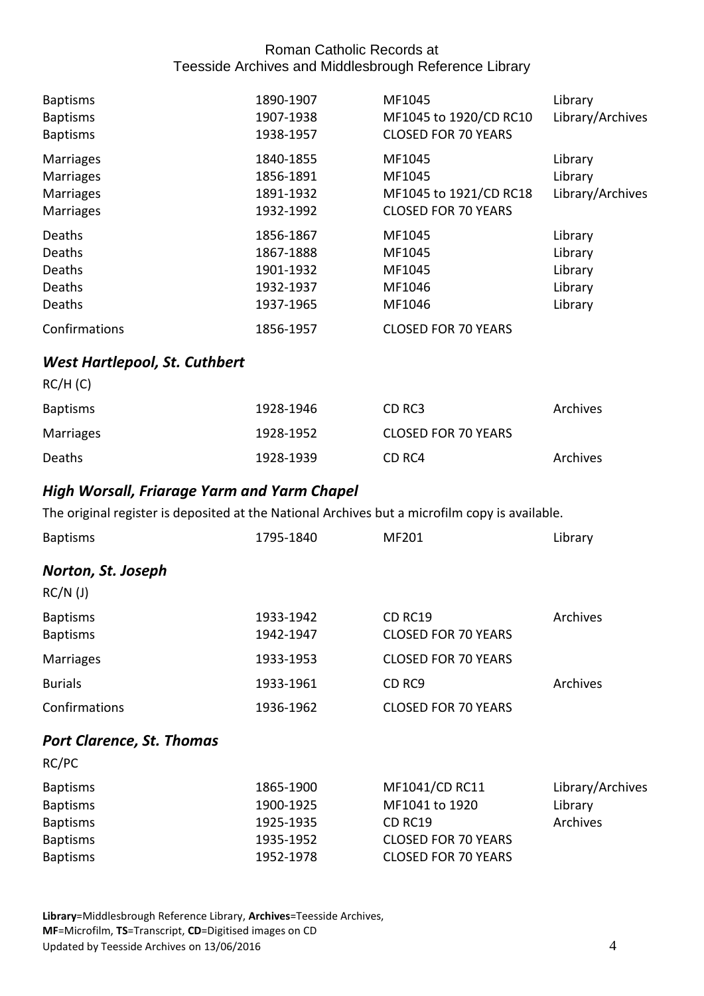| <b>Baptisms</b><br><b>Baptisms</b><br><b>Baptisms</b>                        | 1890-1907<br>1907-1938<br>1938-1957                           | MF1045<br>MF1045 to 1920/CD RC10<br><b>CLOSED FOR 70 YEARS</b>           | Library<br>Library/Archives                         |
|------------------------------------------------------------------------------|---------------------------------------------------------------|--------------------------------------------------------------------------|-----------------------------------------------------|
| <b>Marriages</b><br><b>Marriages</b><br><b>Marriages</b><br><b>Marriages</b> | 1840-1855<br>1856-1891<br>1891-1932<br>1932-1992              | MF1045<br>MF1045<br>MF1045 to 1921/CD RC18<br><b>CLOSED FOR 70 YEARS</b> | Library<br>Library<br>Library/Archives              |
| Deaths<br>Deaths<br>Deaths<br>Deaths<br>Deaths                               | 1856-1867<br>1867-1888<br>1901-1932<br>1932-1937<br>1937-1965 | MF1045<br>MF1045<br>MF1045<br>MF1046<br>MF1046                           | Library<br>Library<br>Library<br>Library<br>Library |
| Confirmations                                                                | 1856-1957                                                     | <b>CLOSED FOR 70 YEARS</b>                                               |                                                     |

## <span id="page-3-0"></span> *West Hartlepool, St. Cuthbert*

| RC/H(C)         |           |                            |          |
|-----------------|-----------|----------------------------|----------|
| <b>Baptisms</b> | 1928-1946 | CD RC3                     | Archives |
| Marriages       | 1928-1952 | <b>CLOSED FOR 70 YEARS</b> |          |
| Deaths          | 1928-1939 | CD RC4                     | Archives |

# <span id="page-3-1"></span>*High Worsall, Friarage Yarm and Yarm Chapel*

The original register is deposited at the National Archives but a microfilm copy is available.

<span id="page-3-3"></span><span id="page-3-2"></span>

| <b>Baptisms</b>                                                                             | 1795-1840                                                     | MF201                                                                                                   | Library                                 |
|---------------------------------------------------------------------------------------------|---------------------------------------------------------------|---------------------------------------------------------------------------------------------------------|-----------------------------------------|
| Norton, St. Joseph                                                                          |                                                               |                                                                                                         |                                         |
| $RC/N$ (J)                                                                                  |                                                               |                                                                                                         |                                         |
| <b>Baptisms</b><br><b>Baptisms</b>                                                          | 1933-1942<br>1942-1947                                        | CD RC19<br><b>CLOSED FOR 70 YEARS</b>                                                                   | Archives                                |
| <b>Marriages</b>                                                                            | 1933-1953                                                     | <b>CLOSED FOR 70 YEARS</b>                                                                              |                                         |
| <b>Burials</b>                                                                              | 1933-1961                                                     | CD <sub>RC9</sub>                                                                                       | Archives                                |
| Confirmations                                                                               | 1936-1962                                                     | <b>CLOSED FOR 70 YEARS</b>                                                                              |                                         |
| <b>Port Clarence, St. Thomas</b><br>RC/PC                                                   |                                                               |                                                                                                         |                                         |
| <b>Baptisms</b><br><b>Baptisms</b><br><b>Baptisms</b><br><b>Baptisms</b><br><b>Baptisms</b> | 1865-1900<br>1900-1925<br>1925-1935<br>1935-1952<br>1952-1978 | MF1041/CD RC11<br>MF1041 to 1920<br>CD RC19<br><b>CLOSED FOR 70 YEARS</b><br><b>CLOSED FOR 70 YEARS</b> | Library/Archives<br>Library<br>Archives |

 **Library**=Middlesbrough Reference Library, **Archives**=Teesside Archives, **MF**=Microfilm, **TS**=Transcript, **CD**=Digitised images on CD<br>Updated by Teesside Archives on 13/06/2016 4 Updated by Teesside Archives on 13/06/2016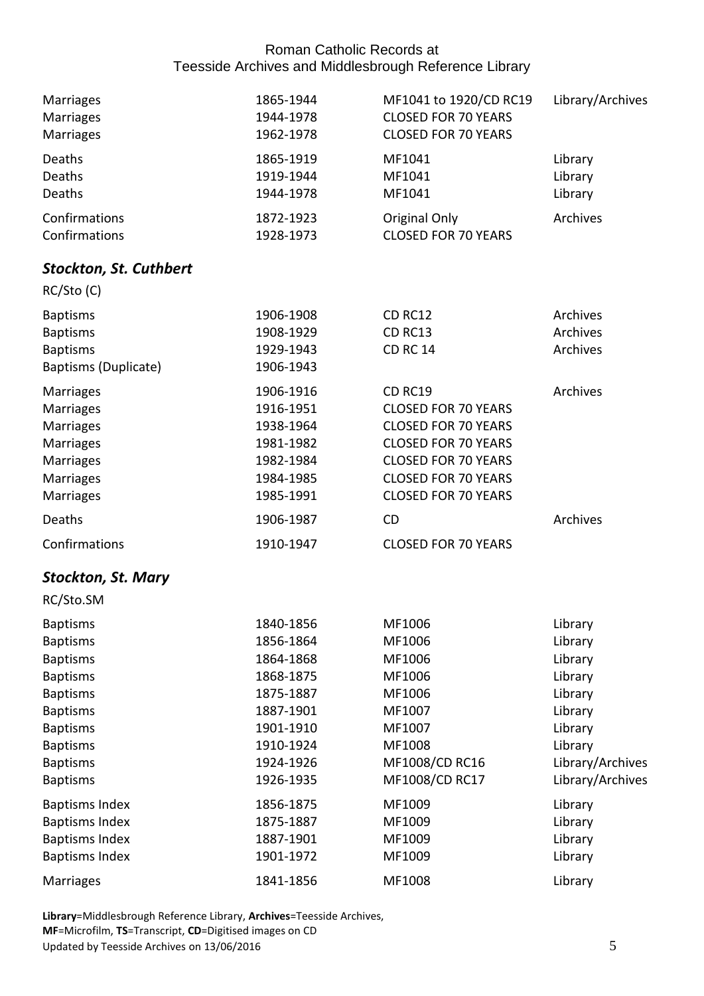<span id="page-4-0"></span>

| <b>Marriages</b><br><b>Marriages</b><br><b>Marriages</b>                                                                                                                                   | 1865-1944<br>1944-1978<br>1962-1978                                                                                            | MF1041 to 1920/CD RC19<br><b>CLOSED FOR 70 YEARS</b><br><b>CLOSED FOR 70 YEARS</b>                                                                                                          | Library/Archives                                                                                                             |
|--------------------------------------------------------------------------------------------------------------------------------------------------------------------------------------------|--------------------------------------------------------------------------------------------------------------------------------|---------------------------------------------------------------------------------------------------------------------------------------------------------------------------------------------|------------------------------------------------------------------------------------------------------------------------------|
| Deaths<br>Deaths<br>Deaths                                                                                                                                                                 | 1865-1919<br>1919-1944<br>1944-1978                                                                                            | MF1041<br>MF1041<br>MF1041                                                                                                                                                                  | Library<br>Library<br>Library                                                                                                |
| Confirmations<br>Confirmations                                                                                                                                                             | 1872-1923<br>1928-1973                                                                                                         | Original Only<br><b>CLOSED FOR 70 YEARS</b>                                                                                                                                                 | Archives                                                                                                                     |
| <b>Stockton, St. Cuthbert</b>                                                                                                                                                              |                                                                                                                                |                                                                                                                                                                                             |                                                                                                                              |
| RC/Sto(C)                                                                                                                                                                                  |                                                                                                                                |                                                                                                                                                                                             |                                                                                                                              |
| <b>Baptisms</b><br><b>Baptisms</b><br><b>Baptisms</b><br>Baptisms (Duplicate)                                                                                                              | 1906-1908<br>1908-1929<br>1929-1943<br>1906-1943                                                                               | <b>CD RC12</b><br>CD RC13<br><b>CD RC 14</b>                                                                                                                                                | Archives<br>Archives<br>Archives                                                                                             |
| <b>Marriages</b><br><b>Marriages</b><br><b>Marriages</b><br><b>Marriages</b><br>Marriages<br><b>Marriages</b><br><b>Marriages</b>                                                          | 1906-1916<br>1916-1951<br>1938-1964<br>1981-1982<br>1982-1984<br>1984-1985<br>1985-1991                                        | CD RC19<br><b>CLOSED FOR 70 YEARS</b><br><b>CLOSED FOR 70 YEARS</b><br><b>CLOSED FOR 70 YEARS</b><br><b>CLOSED FOR 70 YEARS</b><br><b>CLOSED FOR 70 YEARS</b><br><b>CLOSED FOR 70 YEARS</b> | Archives                                                                                                                     |
| Deaths                                                                                                                                                                                     | 1906-1987                                                                                                                      | <b>CD</b>                                                                                                                                                                                   | Archives                                                                                                                     |
| Confirmations                                                                                                                                                                              | 1910-1947                                                                                                                      | <b>CLOSED FOR 70 YEARS</b>                                                                                                                                                                  |                                                                                                                              |
| <b>Stockton, St. Mary</b>                                                                                                                                                                  |                                                                                                                                |                                                                                                                                                                                             |                                                                                                                              |
| RC/Sto.SM                                                                                                                                                                                  |                                                                                                                                |                                                                                                                                                                                             |                                                                                                                              |
| <b>Baptisms</b><br><b>Baptisms</b><br><b>Baptisms</b><br><b>Baptisms</b><br><b>Baptisms</b><br><b>Baptisms</b><br><b>Baptisms</b><br><b>Baptisms</b><br><b>Baptisms</b><br><b>Baptisms</b> | 1840-1856<br>1856-1864<br>1864-1868<br>1868-1875<br>1875-1887<br>1887-1901<br>1901-1910<br>1910-1924<br>1924-1926<br>1926-1935 | MF1006<br>MF1006<br>MF1006<br>MF1006<br>MF1006<br>MF1007<br>MF1007<br>MF1008<br>MF1008/CD RC16<br>MF1008/CD RC17                                                                            | Library<br>Library<br>Library<br>Library<br>Library<br>Library<br>Library<br>Library<br>Library/Archives<br>Library/Archives |
| <b>Baptisms Index</b><br><b>Baptisms Index</b><br><b>Baptisms Index</b><br><b>Baptisms Index</b><br><b>Marriages</b>                                                                       | 1856-1875<br>1875-1887<br>1887-1901<br>1901-1972<br>1841-1856                                                                  | MF1009<br>MF1009<br>MF1009<br>MF1009<br>MF1008                                                                                                                                              | Library<br>Library<br>Library<br>Library<br>Library                                                                          |

<span id="page-4-1"></span> **Library**=Middlesbrough Reference Library, **Archives**=Teesside Archives, **MF**=Microfilm, **TS**=Transcript, **CD**=Digitised images on CD<br>Updated by Teesside Archives on 13/06/2016 5 Updated by Teesside Archives on 13/06/2016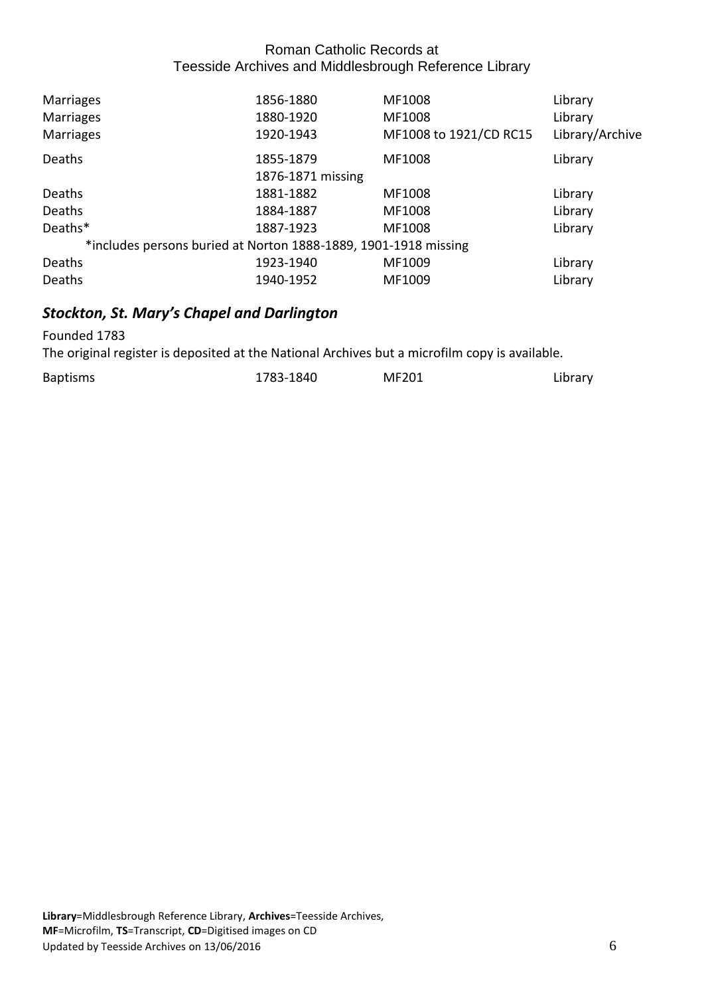| <b>Marriages</b>                                                | 1856-1880         | MF1008                 | Library         |
|-----------------------------------------------------------------|-------------------|------------------------|-----------------|
| <b>Marriages</b>                                                | 1880-1920         | MF1008                 | Library         |
| <b>Marriages</b>                                                | 1920-1943         | MF1008 to 1921/CD RC15 | Library/Archive |
| Deaths                                                          | 1855-1879         | MF1008                 | Library         |
|                                                                 | 1876-1871 missing |                        |                 |
| Deaths                                                          | 1881-1882         | MF1008                 | Library         |
| <b>Deaths</b>                                                   | 1884-1887         | MF1008                 | Library         |
| Deaths*                                                         | 1887-1923         | MF1008                 | Library         |
| *includes persons buried at Norton 1888-1889, 1901-1918 missing |                   |                        |                 |
| Deaths                                                          | 1923-1940         | MF1009                 | Library         |
| Deaths                                                          | 1940-1952         | MF1009                 | Library         |

# <span id="page-5-0"></span>*Stockton, St. Mary's Chapel and Darlington*

Founded 1783

The original register is deposited at the National Archives but a microfilm copy is available.

| <b>Baptisms</b> | 1783-1840 | MF201 | Library |
|-----------------|-----------|-------|---------|
|                 |           |       |         |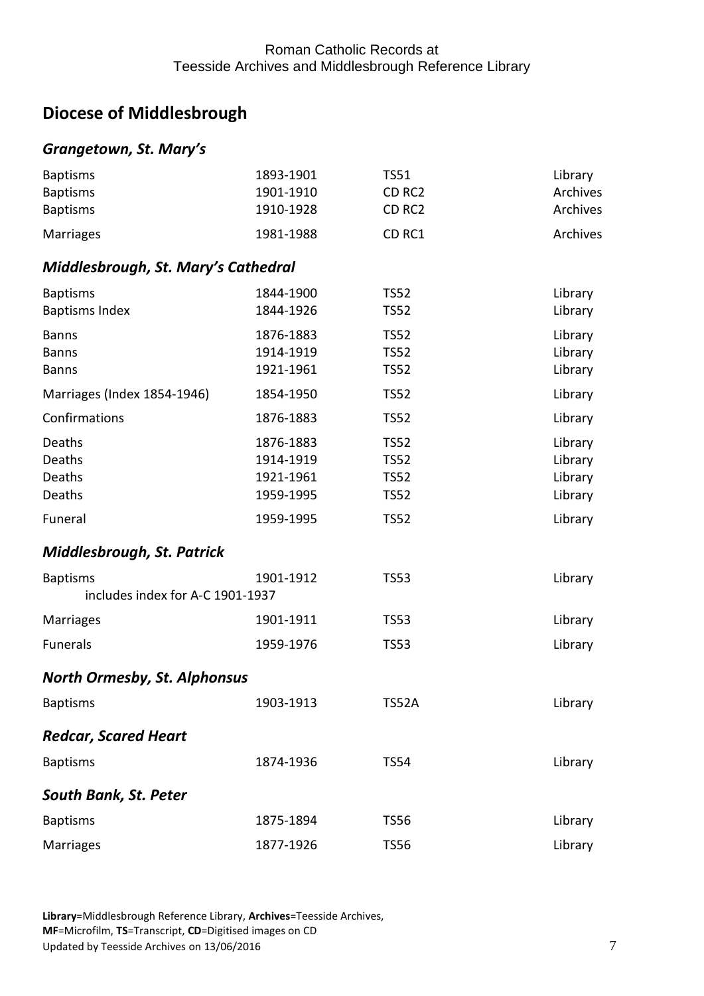# <span id="page-6-0"></span>**Diocese of Middlesbrough**

## <span id="page-6-1"></span>*Grangetown, St. Mary's*

<span id="page-6-3"></span><span id="page-6-2"></span>

| <b>Baptisms</b>                     | 1893-1901 | <b>TS51</b>  | Library  |
|-------------------------------------|-----------|--------------|----------|
| <b>Baptisms</b>                     | 1901-1910 | CD RC2       | Archives |
| <b>Baptisms</b>                     | 1910-1928 | CD RC2       | Archives |
| <b>Marriages</b>                    | 1981-1988 | CD RC1       | Archives |
| Middlesbrough, St. Mary's Cathedral |           |              |          |
| <b>Baptisms</b>                     | 1844-1900 | <b>TS52</b>  | Library  |
| <b>Baptisms Index</b>               | 1844-1926 | <b>TS52</b>  | Library  |
| <b>Banns</b>                        | 1876-1883 | <b>TS52</b>  | Library  |
| <b>Banns</b>                        | 1914-1919 | <b>TS52</b>  | Library  |
| <b>Banns</b>                        | 1921-1961 | <b>TS52</b>  | Library  |
| Marriages (Index 1854-1946)         | 1854-1950 | <b>TS52</b>  | Library  |
| Confirmations                       | 1876-1883 | <b>TS52</b>  | Library  |
| Deaths                              | 1876-1883 | <b>TS52</b>  | Library  |
| Deaths                              | 1914-1919 | <b>TS52</b>  | Library  |
| Deaths                              | 1921-1961 | <b>TS52</b>  | Library  |
| Deaths                              | 1959-1995 | <b>TS52</b>  | Library  |
| Funeral                             | 1959-1995 | <b>TS52</b>  | Library  |
| <b>Middlesbrough, St. Patrick</b>   |           |              |          |
| <b>Baptisms</b>                     | 1901-1912 | <b>TS53</b>  | Library  |
| includes index for A-C 1901-1937    |           |              |          |
| <b>Marriages</b>                    | 1901-1911 | <b>TS53</b>  | Library  |
| <b>Funerals</b>                     | 1959-1976 | <b>TS53</b>  | Library  |
| <b>North Ormesby, St. Alphonsus</b> |           |              |          |
| <b>Baptisms</b>                     | 1903-1913 | <b>TS52A</b> | Library  |
| <b>Redcar, Scared Heart</b>         |           |              |          |
| <b>Baptisms</b>                     | 1874-1936 | <b>TS54</b>  | Library  |
| <b>South Bank, St. Peter</b>        |           |              |          |
| <b>Baptisms</b>                     | 1875-1894 | <b>TS56</b>  | Library  |
| Marriages                           | 1877-1926 | <b>TS56</b>  | Library  |

<span id="page-6-6"></span><span id="page-6-5"></span><span id="page-6-4"></span> **Library**=Middlesbrough Reference Library, **Archives**=Teesside Archives, **MF**=Microfilm, **TS**=Transcript, **CD**=Digitised images on CD<br>Updated by Teesside Archives on 13/06/2016 7 Updated by Teesside Archives on 13/06/2016